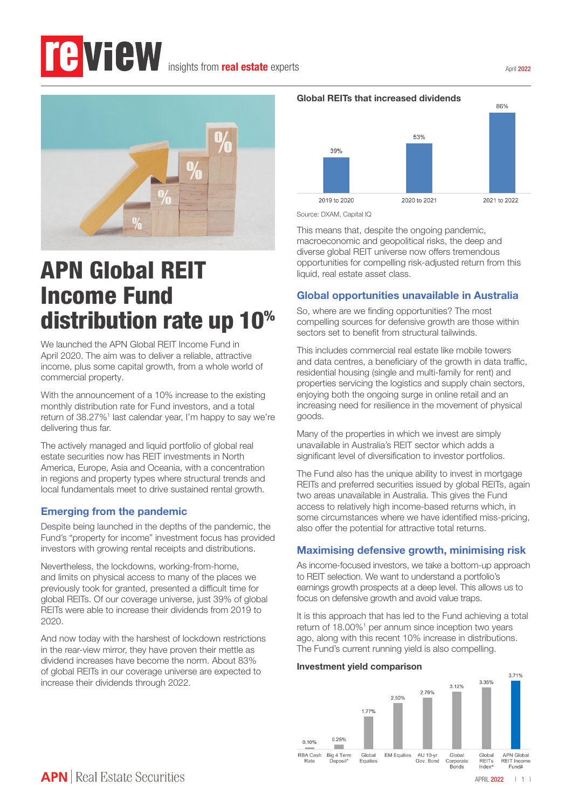# *<u>EVIEW</u>* insights from **real estate** experts



# APN Global REIT Income Fund distribution rate up 10%

We launched the APN Global REIT Income Fund in April 2020. The aim was to deliver a reliable, attractive income, plus some capital growth, from a whole world of commercial property.

With the announcement of a 10% increase to the existing monthly distribution rate for Fund investors, and a total return of 38.27%<sup>1</sup> last calendar year, I'm happy to say we're delivering thus far.

The actively managed and liquid portfolio of global real estate securities now has REIT investments in North America, Europe, Asia and Oceania, with a concentration in regions and property types where structural trends and local fundamentals meet to drive sustained rental growth.

## Emerging from the pandemic

Despite being launched in the depths of the pandemic, the Fund's "property for income" investment focus has provided investors with growing rental receipts and distributions.

Nevertheless, the lockdowns, working-from-home, and limits on physical access to many of the places we previously took for granted, presented a difficult time for global REITs. Of our coverage universe, just 39% of global REITs were able to increase their dividends from 2019 to 2020.

And now today with the harshest of lockdown restrictions in the rear-view mirror, they have proven their mettle as dividend increases have become the norm. About 83% of global REITs in our coverage universe are expected to increase their dividends through 2022.



Source: DXAM, Capital IQ

This means that, despite the ongoing pandemic, macroeconomic and geopolitical risks, the deep and diverse global REIT universe now offers tremendous opportunities for compelling risk-adjusted return from this liquid, real estate asset class.

### Global opportunities unavailable in Australia

So, where are we finding opportunities? The most compelling sources for defensive growth are those within sectors set to benefit from structural tailwinds.

This includes commercial real estate like mobile towers and data centres, a beneficiary of the growth in data traffic, residential housing (single and multi-family for rent) and properties servicing the logistics and supply chain sectors, enjoying both the ongoing surge in online retail and an increasing need for resilience in the movement of physical goods.

Many of the properties in which we invest are simply unavailable in Australia's REIT sector which adds a significant level of diversification to investor portfolios.

The Fund also has the unique ability to invest in mortgage REITs and preferred securities issued by global REITs, again two areas unavailable in Australia. This gives the Fund access to relatively high income-based returns which, in some circumstances where we have identified miss-pricing, also offer the potential for attractive total returns.

## Maximising defensive growth, minimising risk

As income-focused investors, we take a bottom-up approach to REIT selection. We want to understand a portfolio's earnings growth prospects at a deep level. This allows us to focus on defensive growth and avoid value traps.

It is this approach that has led to the Fund achieving a total return of 18.00%<sup>1</sup> per annum since inception two years ago, along with this recent 10% increase in distributions. The Fund's current running yield is also compelling.

#### Investment yield comparison



April 2022